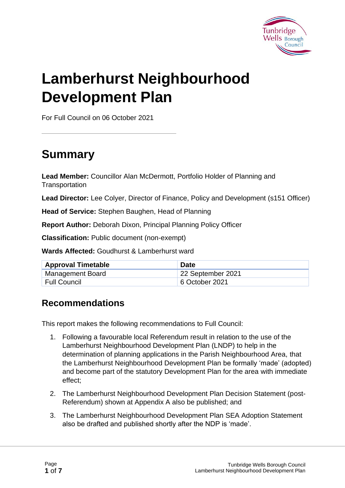

# **Lamberhurst Neighbourhood Development Plan**

For Full Council on 06 October 2021

# **Summary**

**Lead Member:** Councillor Alan McDermott, Portfolio Holder of Planning and **Transportation** 

**Lead Director:** Lee Colyer, Director of Finance, Policy and Development (s151 Officer)

**Head of Service:** Stephen Baughen, Head of Planning

**Report Author:** Deborah Dixon, Principal Planning Policy Officer

**Classification:** Public document (non-exempt)

**Wards Affected:** Goudhurst & Lamberhurst ward

| <b>Approval Timetable</b> | <b>Date</b>       |
|---------------------------|-------------------|
| Management Board          | 22 September 2021 |
| Full Council              | 6 October 2021    |

#### **Recommendations**

This report makes the following recommendations to Full Council:

- 1. Following a favourable local Referendum result in relation to the use of the Lamberhurst Neighbourhood Development Plan (LNDP) to help in the determination of planning applications in the Parish Neighbourhood Area, that the Lamberhurst Neighbourhood Development Plan be formally 'made' (adopted) and become part of the statutory Development Plan for the area with immediate effect;
- 2. The Lamberhurst Neighbourhood Development Plan Decision Statement (post-Referendum) shown at Appendix A also be published; and
- 3. The Lamberhurst Neighbourhood Development Plan SEA Adoption Statement also be drafted and published shortly after the NDP is 'made'.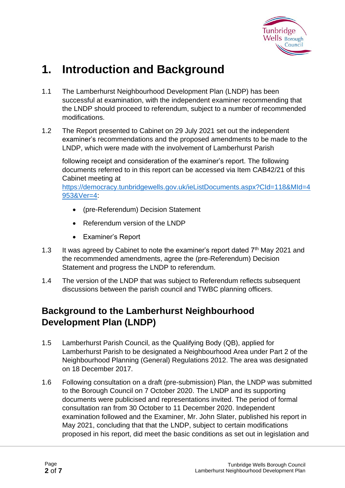

# **1. Introduction and Background**

- 1.1 The Lamberhurst Neighbourhood Development Plan (LNDP) has been successful at examination, with the independent examiner recommending that the LNDP should proceed to referendum, subject to a number of recommended modifications.
- 1.2 The Report presented to Cabinet on 29 July 2021 set out the independent examiner's recommendations and the proposed amendments to be made to the LNDP, which were made with the involvement of Lamberhurst Parish

following receipt and consideration of the examiner's report. The following documents referred to in this report can be accessed via Item CAB42/21 of this Cabinet meeting at

[https://democracy.tunbridgewells.gov.uk/ieListDocuments.aspx?CId=118&MId=4](https://democracy.tunbridgewells.gov.uk/ieListDocuments.aspx?CId=118&MId=4953&Ver=4) [953&Ver=4:](https://democracy.tunbridgewells.gov.uk/ieListDocuments.aspx?CId=118&MId=4953&Ver=4)

- (pre-Referendum) Decision Statement
- Referendum version of the LNDP
- Examiner's Report
- 1.3 It was agreed by Cabinet to note the examiner's report dated  $7<sup>th</sup>$  May 2021 and the recommended amendments, agree the (pre-Referendum) Decision Statement and progress the LNDP to referendum.
- 1.4 The version of the LNDP that was subject to Referendum reflects subsequent discussions between the parish council and TWBC planning officers.

#### **Background to the Lamberhurst Neighbourhood Development Plan (LNDP)**

- 1.5 Lamberhurst Parish Council, as the Qualifying Body (QB), applied for Lamberhurst Parish to be designated a Neighbourhood Area under Part 2 of the Neighbourhood Planning (General) Regulations 2012. The area was designated on 18 December 2017.
- 1.6 Following consultation on a draft (pre-submission) Plan, the LNDP was submitted to the Borough Council on 7 October 2020. The LNDP and its supporting documents were publicised and representations invited. The period of formal consultation ran from 30 October to 11 December 2020. Independent examination followed and the Examiner, Mr. John Slater, published his report in May 2021, concluding that that the LNDP, subject to certain modifications proposed in his report, did meet the basic conditions as set out in legislation and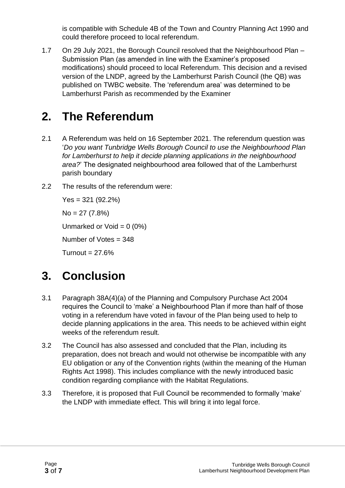is compatible with Schedule 4B of the Town and Country Planning Act 1990 and could therefore proceed to local referendum.

1.7 On 29 July 2021, the Borough Council resolved that the Neighbourhood Plan – Submission Plan (as amended in line with the Examiner's proposed modifications) should proceed to local Referendum. This decision and a revised version of the LNDP, agreed by the Lamberhurst Parish Council (the QB) was published on TWBC website. The 'referendum area' was determined to be Lamberhurst Parish as recommended by the Examiner

## **2. The Referendum**

- 2.1 A Referendum was held on 16 September 2021. The referendum question was '*Do you want Tunbridge Wells Borough Council to use the Neighbourhood Plan for Lamberhurst to help it decide planning applications in the neighbourhood area?*' The designated neighbourhood area followed that of the Lamberhurst parish boundary
- 2.2 The results of the referendum were:

Yes = 321 (92.2%)

 $No = 27 (7.8%)$ 

Unmarked or Void  $= 0$  (0%)

Number of Votes = 348

 $Turnout = 27.6%$ 

# **3. Conclusion**

- 3.1 Paragraph 38A(4)(a) of the Planning and Compulsory Purchase Act 2004 requires the Council to 'make' a Neighbourhood Plan if more than half of those voting in a referendum have voted in favour of the Plan being used to help to decide planning applications in the area. This needs to be achieved within eight weeks of the referendum result.
- 3.2 The Council has also assessed and concluded that the Plan, including its preparation, does not breach and would not otherwise be incompatible with any EU obligation or any of the Convention rights (within the meaning of the Human Rights Act 1998). This includes compliance with the newly introduced basic condition regarding compliance with the Habitat Regulations.
- 3.3 Therefore, it is proposed that Full Council be recommended to formally 'make' the LNDP with immediate effect. This will bring it into legal force.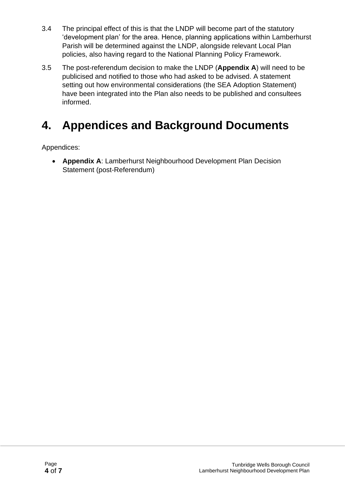- 3.4 The principal effect of this is that the LNDP will become part of the statutory 'development plan' for the area. Hence, planning applications within Lamberhurst Parish will be determined against the LNDP, alongside relevant Local Plan policies, also having regard to the National Planning Policy Framework.
- 3.5 The post-referendum decision to make the LNDP (**Appendix A**) will need to be publicised and notified to those who had asked to be advised. A statement setting out how environmental considerations (the SEA Adoption Statement) have been integrated into the Plan also needs to be published and consultees informed.

# **4. Appendices and Background Documents**

Appendices:

• **Appendix A**: Lamberhurst Neighbourhood Development Plan Decision Statement (post-Referendum)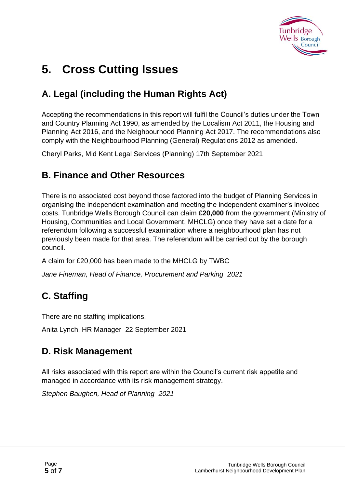

# **5. Cross Cutting Issues**

### **A. Legal (including the Human Rights Act)**

Accepting the recommendations in this report will fulfil the Council's duties under the Town and Country Planning Act 1990, as amended by the Localism Act 2011, the Housing and Planning Act 2016, and the Neighbourhood Planning Act 2017. The recommendations also comply with the Neighbourhood Planning (General) Regulations 2012 as amended.

Cheryl Parks, Mid Kent Legal Services (Planning) 17th September 2021

#### **B. Finance and Other Resources**

There is no associated cost beyond those factored into the budget of Planning Services in organising the independent examination and meeting the independent examiner's invoiced costs. Tunbridge Wells Borough Council can claim **£20,000** from the government (Ministry of Housing, Communities and Local Government, MHCLG) once they have set a date for a referendum following a successful examination where a neighbourhood plan has not previously been made for that area. The referendum will be carried out by the borough council.

A claim for £20,000 has been made to the MHCLG by TWBC

*Jane Fineman, Head of Finance, Procurement and Parking 2021*

### **C. Staffing**

There are no staffing implications.

Anita Lynch, HR Manager 22 September 2021

#### **D. Risk Management**

All risks associated with this report are within the Council's current risk appetite and managed in accordance with its risk management strategy.

*Stephen Baughen, Head of Planning 2021*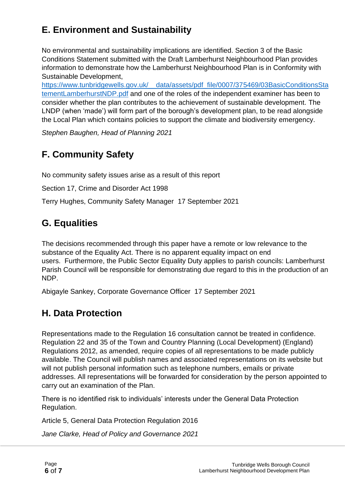### **E. Environment and Sustainability**

No environmental and sustainability implications are identified. Section 3 of the Basic Conditions Statement submitted with the Draft Lamberhurst Neighbourhood Plan provides information to demonstrate how the Lamberhurst Neighbourhood Plan is in Conformity with Sustainable Development,

[https://www.tunbridgewells.gov.uk/\\_\\_data/assets/pdf\\_file/0007/375469/03BasicConditionsSta](https://www.tunbridgewells.gov.uk/__data/assets/pdf_file/0007/375469/03BasicConditionsStatementLamberhurstNDP.pdf) [tementLamberhurstNDP.pdf](https://www.tunbridgewells.gov.uk/__data/assets/pdf_file/0007/375469/03BasicConditionsStatementLamberhurstNDP.pdf) and one of the roles of the independent examiner has been to consider whether the plan contributes to the achievement of sustainable development. The LNDP (when 'made') will form part of the borough's development plan, to be read alongside the Local Plan which contains policies to support the climate and biodiversity emergency.

*Stephen Baughen, Head of Planning 2021* 

### **F. Community Safety**

No community safety issues arise as a result of this report

Section 17, Crime and Disorder Act 1998

Terry Hughes, Community Safety Manager 17 September 2021

### **G. Equalities**

The decisions recommended through this paper have a remote or low relevance to the substance of the Equality Act. There is no apparent equality impact on end users. Furthermore, the Public Sector Equality Duty applies to parish councils: Lamberhurst Parish Council will be responsible for demonstrating due regard to this in the production of an NDP.

Abigayle Sankey, Corporate Governance Officer 17 September 2021

### **H. Data Protection**

Representations made to the Regulation 16 consultation cannot be treated in confidence. Regulation 22 and 35 of the Town and Country Planning (Local Development) (England) Regulations 2012, as amended, require copies of all representations to be made publicly available. The Council will publish names and associated representations on its website but will not publish personal information such as telephone numbers, emails or private addresses. All representations will be forwarded for consideration by the person appointed to carry out an examination of the Plan.

There is no identified risk to individuals' interests under the General Data Protection Regulation.

Article 5, General Data Protection Regulation 2016

*Jane Clarke, Head of Policy and Governance 2021*